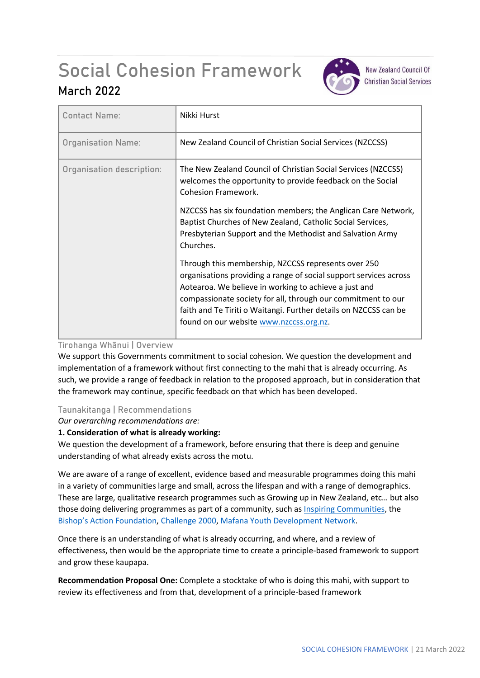# Social Cohesion Framework



**New Zealand Council Of Christian Social Services** 

# **March 2022**

| <b>Contact Name:</b>      | Nikki Hurst                                                                                                                                                                                                                                                                                                                                                      |
|---------------------------|------------------------------------------------------------------------------------------------------------------------------------------------------------------------------------------------------------------------------------------------------------------------------------------------------------------------------------------------------------------|
| <b>Organisation Name:</b> | New Zealand Council of Christian Social Services (NZCCSS)                                                                                                                                                                                                                                                                                                        |
| Organisation description: | The New Zealand Council of Christian Social Services (NZCCSS)<br>welcomes the opportunity to provide feedback on the Social<br><b>Cohesion Framework.</b>                                                                                                                                                                                                        |
|                           | NZCCSS has six foundation members; the Anglican Care Network,<br>Baptist Churches of New Zealand, Catholic Social Services,<br>Presbyterian Support and the Methodist and Salvation Army<br>Churches.                                                                                                                                                            |
|                           | Through this membership, NZCCSS represents over 250<br>organisations providing a range of social support services across<br>Aotearoa. We believe in working to achieve a just and<br>compassionate society for all, through our commitment to our<br>faith and Te Tiriti o Waitangi. Further details on NZCCSS can be<br>found on our website www.nzccss.org.nz. |

## **Tirohanga Whānui | Overview**

We support this Governments commitment to social cohesion. We question the development and implementation of a framework without first connecting to the mahi that is already occurring. As such, we provide a range of feedback in relation to the proposed approach, but in consideration that the framework may continue, specific feedback on that which has been developed.

## **Taunakitanga | Recommendations**

*Our overarching recommendations are:*

#### **1. Consideration of what is already working:**

We question the development of a framework, before ensuring that there is deep and genuine understanding of what already exists across the motu.

We are aware of a range of excellent, evidence based and measurable programmes doing this mahi in a variety of communities large and small, across the lifespan and with a range of demographics. These are large, qualitative research programmes such as Growing up in New Zealand, etc… but also those doing delivering programmes as part of a community, such a[s Inspiring Communities,](https://inspiringcommunities.org.nz/) the [Bishop's Action Foundation](https://www.baf.org.nz/)[, Challenge 2000,](https://www.challenge2000.org.nz/community/community-connection/) [Mafana Youth Development Network.](https://www.facebook.com/MafanaNetwork/)

Once there is an understanding of what is already occurring, and where, and a review of effectiveness, then would be the appropriate time to create a principle-based framework to support and grow these kaupapa.

**Recommendation Proposal One:** Complete a stocktake of who is doing this mahi, with support to review its effectiveness and from that, development of a principle-based framework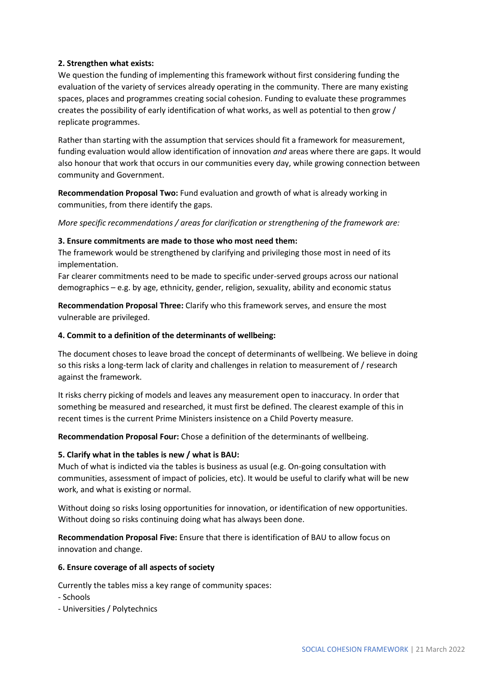#### **2. Strengthen what exists:**

We question the funding of implementing this framework without first considering funding the evaluation of the variety of services already operating in the community. There are many existing spaces, places and programmes creating social cohesion. Funding to evaluate these programmes creates the possibility of early identification of what works, as well as potential to then grow / replicate programmes.

Rather than starting with the assumption that services should fit a framework for measurement, funding evaluation would allow identification of innovation *and* areas where there are gaps. It would also honour that work that occurs in our communities every day, while growing connection between community and Government.

**Recommendation Proposal Two:** Fund evaluation and growth of what is already working in communities, from there identify the gaps.

*More specific recommendations / areas for clarification or strengthening of the framework are:*

#### **3. Ensure commitments are made to those who most need them:**

The framework would be strengthened by clarifying and privileging those most in need of its implementation.

Far clearer commitments need to be made to specific under-served groups across our national demographics – e.g. by age, ethnicity, gender, religion, sexuality, ability and economic status

**Recommendation Proposal Three:** Clarify who this framework serves, and ensure the most vulnerable are privileged.

#### **4. Commit to a definition of the determinants of wellbeing:**

The document choses to leave broad the concept of determinants of wellbeing. We believe in doing so this risks a long-term lack of clarity and challenges in relation to measurement of / research against the framework.

It risks cherry picking of models and leaves any measurement open to inaccuracy. In order that something be measured and researched, it must first be defined. The clearest example of this in recent times is the current Prime Ministers insistence on a Child Poverty measure.

**Recommendation Proposal Four:** Chose a definition of the determinants of wellbeing.

#### **5. Clarify what in the tables is new / what is BAU:**

Much of what is indicted via the tables is business as usual (e.g. On-going consultation with communities, assessment of impact of policies, etc). It would be useful to clarify what will be new work, and what is existing or normal.

Without doing so risks losing opportunities for innovation, or identification of new opportunities. Without doing so risks continuing doing what has always been done.

**Recommendation Proposal Five:** Ensure that there is identification of BAU to allow focus on innovation and change.

#### **6. Ensure coverage of all aspects of society**

Currently the tables miss a key range of community spaces:

- Schools
- Universities / Polytechnics